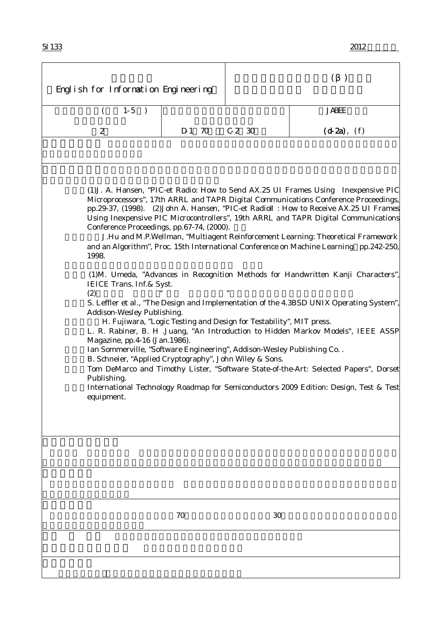| English for Information Engineering                                                                                                                                                                                                                                                                                                                                                                                                                                                                                                                                                                                                                                                                                                                                                           |        | (       |                  |  |  |
|-----------------------------------------------------------------------------------------------------------------------------------------------------------------------------------------------------------------------------------------------------------------------------------------------------------------------------------------------------------------------------------------------------------------------------------------------------------------------------------------------------------------------------------------------------------------------------------------------------------------------------------------------------------------------------------------------------------------------------------------------------------------------------------------------|--------|---------|------------------|--|--|
| $1-5$<br>$\rightarrow$                                                                                                                                                                                                                                                                                                                                                                                                                                                                                                                                                                                                                                                                                                                                                                        |        |         | <b>JABEE</b>     |  |  |
| 2                                                                                                                                                                                                                                                                                                                                                                                                                                                                                                                                                                                                                                                                                                                                                                                             | D 1 70 | $C2$ 30 | $(d 2a)$ , $(f)$ |  |  |
|                                                                                                                                                                                                                                                                                                                                                                                                                                                                                                                                                                                                                                                                                                                                                                                               |        |         |                  |  |  |
| (1) J. A. Hansen, "PIC-et Radio: How to Send AX.25 UI Frames Using Inexpensive PIC<br>Microprocessors", 17th ARRL and TAPR Digital Communications Conference Proceedings,<br>pp.29-37, (1998). (2) John A. Hansen, "PIC-et Radio : How to Receive AX.25 UI Frames<br>Using Inexpensive PIC Microcontrollers", 19th ARRL and TAPR Digital Communications<br>Conference Proceedings, pp.67-74, (2000).<br>J.Hu and M.P.Wellman, "Multiagent Reinforcement Learning: Theoretical Framework<br>and an Algorithm", Proc. 15th International Conference on Machine Learning pp.242-250,<br>1998.                                                                                                                                                                                                    |        |         |                  |  |  |
| (1)M. Umeda, "Advances in Recognition Methods for Handwritten Kanji Characters"<br>IEICE Trans. Inf. & Syst.<br>(2)<br>S. Leffler et al., "The Design and Implementation of the 4.3BSD UNIX Operating System",<br>Addison-Wesley Publishing.<br>H. Fujiwara, "Logic Testing and Design for Testability", MIT press.<br>L. R. Rabiner, B. H .Juang, "An Introduction to Hidden Markov Models", IEEE ASSP<br>Magazine, pp.4-16 (Jan.1986).<br>Ian Sommerville, "Software Engineering", Addison-Wesley Publishing Co. .<br>B. Schneier, "Applied Cryptography", John Wiley & Sons.<br>Tom DeMarco and Timothy Lister, "Software State-of-the-Art: Selected Papers", Dorset<br>Publishing.<br>International Technology Roadmap for Semiconductors 2009 Edition: Design, Test & Test<br>equipment. |        |         |                  |  |  |
|                                                                                                                                                                                                                                                                                                                                                                                                                                                                                                                                                                                                                                                                                                                                                                                               |        |         |                  |  |  |
|                                                                                                                                                                                                                                                                                                                                                                                                                                                                                                                                                                                                                                                                                                                                                                                               |        |         |                  |  |  |
|                                                                                                                                                                                                                                                                                                                                                                                                                                                                                                                                                                                                                                                                                                                                                                                               | 70     | 30      |                  |  |  |
|                                                                                                                                                                                                                                                                                                                                                                                                                                                                                                                                                                                                                                                                                                                                                                                               |        |         |                  |  |  |
|                                                                                                                                                                                                                                                                                                                                                                                                                                                                                                                                                                                                                                                                                                                                                                                               |        |         |                  |  |  |